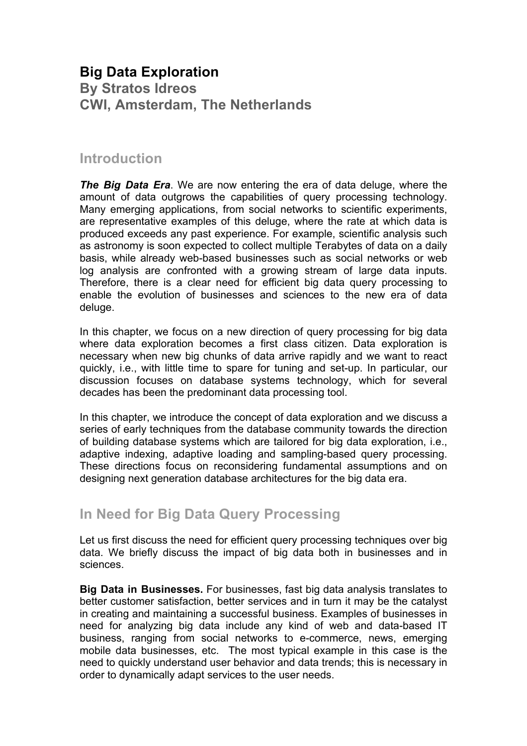# **Big Data Exploration**

**By Stratos Idreos CWI, Amsterdam, The Netherlands**

### **Introduction**

*The Big Data Era*. We are now entering the era of data deluge, where the amount of data outgrows the capabilities of query processing technology. Many emerging applications, from social networks to scientific experiments, are representative examples of this deluge, where the rate at which data is produced exceeds any past experience. For example, scientific analysis such as astronomy is soon expected to collect multiple Terabytes of data on a daily basis, while already web-based businesses such as social networks or web log analysis are confronted with a growing stream of large data inputs. Therefore, there is a clear need for efficient big data query processing to enable the evolution of businesses and sciences to the new era of data deluge.

In this chapter, we focus on a new direction of query processing for big data where data exploration becomes a first class citizen. Data exploration is necessary when new big chunks of data arrive rapidly and we want to react quickly, i.e., with little time to spare for tuning and set-up. In particular, our discussion focuses on database systems technology, which for several decades has been the predominant data processing tool.

In this chapter, we introduce the concept of data exploration and we discuss a series of early techniques from the database community towards the direction of building database systems which are tailored for big data exploration, i.e., adaptive indexing, adaptive loading and sampling-based query processing. These directions focus on reconsidering fundamental assumptions and on designing next generation database architectures for the big data era.

# **In Need for Big Data Query Processing**

Let us first discuss the need for efficient query processing techniques over big data. We briefly discuss the impact of big data both in businesses and in sciences.

**Big Data in Businesses.** For businesses, fast big data analysis translates to better customer satisfaction, better services and in turn it may be the catalyst in creating and maintaining a successful business. Examples of businesses in need for analyzing big data include any kind of web and data-based IT business, ranging from social networks to e-commerce, news, emerging mobile data businesses, etc. The most typical example in this case is the need to quickly understand user behavior and data trends; this is necessary in order to dynamically adapt services to the user needs.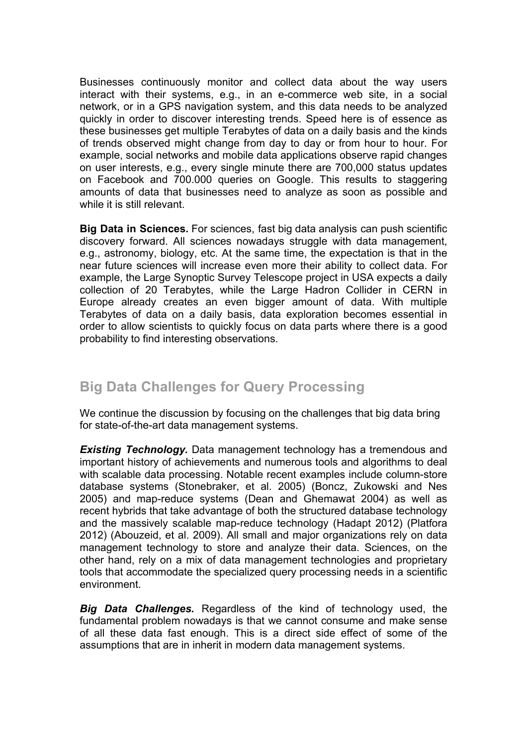Businesses continuously monitor and collect data about the way users interact with their systems, e.g., in an e-commerce web site, in a social network, or in a GPS navigation system, and this data needs to be analyzed quickly in order to discover interesting trends. Speed here is of essence as these businesses get multiple Terabytes of data on a daily basis and the kinds of trends observed might change from day to day or from hour to hour. For example, social networks and mobile data applications observe rapid changes on user interests, e.g., every single minute there are 700,000 status updates on Facebook and 700.000 queries on Google. This results to staggering amounts of data that businesses need to analyze as soon as possible and while it is still relevant.

**Big Data in Sciences.** For sciences, fast big data analysis can push scientific discovery forward. All sciences nowadays struggle with data management, e.g., astronomy, biology, etc. At the same time, the expectation is that in the near future sciences will increase even more their ability to collect data. For example, the Large Synoptic Survey Telescope project in USA expects a daily collection of 20 Terabytes, while the Large Hadron Collider in CERN in Europe already creates an even bigger amount of data. With multiple Terabytes of data on a daily basis, data exploration becomes essential in order to allow scientists to quickly focus on data parts where there is a good probability to find interesting observations.

# **Big Data Challenges for Query Processing**

We continue the discussion by focusing on the challenges that big data bring for state-of-the-art data management systems.

*Existing Technology.* Data management technology has a tremendous and important history of achievements and numerous tools and algorithms to deal with scalable data processing. Notable recent examples include column-store database systems (Stonebraker, et al. 2005) (Boncz, Zukowski and Nes 2005) and map-reduce systems (Dean and Ghemawat 2004) as well as recent hybrids that take advantage of both the structured database technology and the massively scalable map-reduce technology (Hadapt 2012) (Platfora 2012) (Abouzeid, et al. 2009). All small and major organizations rely on data management technology to store and analyze their data. Sciences, on the other hand, rely on a mix of data management technologies and proprietary tools that accommodate the specialized query processing needs in a scientific environment.

*Big Data Challenges.* Regardless of the kind of technology used, the fundamental problem nowadays is that we cannot consume and make sense of all these data fast enough. This is a direct side effect of some of the assumptions that are in inherit in modern data management systems.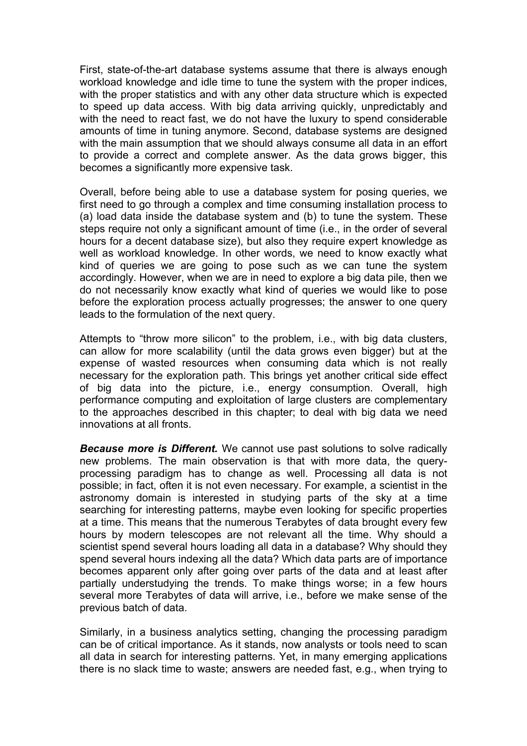First, state-of-the-art database systems assume that there is always enough workload knowledge and idle time to tune the system with the proper indices, with the proper statistics and with any other data structure which is expected to speed up data access. With big data arriving quickly, unpredictably and with the need to react fast, we do not have the luxury to spend considerable amounts of time in tuning anymore. Second, database systems are designed with the main assumption that we should always consume all data in an effort to provide a correct and complete answer. As the data grows bigger, this becomes a significantly more expensive task.

Overall, before being able to use a database system for posing queries, we first need to go through a complex and time consuming installation process to (a) load data inside the database system and (b) to tune the system. These steps require not only a significant amount of time (i.e., in the order of several hours for a decent database size), but also they require expert knowledge as well as workload knowledge. In other words, we need to know exactly what kind of queries we are going to pose such as we can tune the system accordingly. However, when we are in need to explore a big data pile, then we do not necessarily know exactly what kind of queries we would like to pose before the exploration process actually progresses; the answer to one query leads to the formulation of the next query.

Attempts to "throw more silicon" to the problem, i.e., with big data clusters, can allow for more scalability (until the data grows even bigger) but at the expense of wasted resources when consuming data which is not really necessary for the exploration path. This brings yet another critical side effect of big data into the picture, i.e., energy consumption. Overall, high performance computing and exploitation of large clusters are complementary to the approaches described in this chapter; to deal with big data we need innovations at all fronts.

*Because more is Different.* We cannot use past solutions to solve radically new problems. The main observation is that with more data, the queryprocessing paradigm has to change as well. Processing all data is not possible; in fact, often it is not even necessary. For example, a scientist in the astronomy domain is interested in studying parts of the sky at a time searching for interesting patterns, maybe even looking for specific properties at a time. This means that the numerous Terabytes of data brought every few hours by modern telescopes are not relevant all the time. Why should a scientist spend several hours loading all data in a database? Why should they spend several hours indexing all the data? Which data parts are of importance becomes apparent only after going over parts of the data and at least after partially understudying the trends. To make things worse; in a few hours several more Terabytes of data will arrive, i.e., before we make sense of the previous batch of data.

Similarly, in a business analytics setting, changing the processing paradigm can be of critical importance. As it stands, now analysts or tools need to scan all data in search for interesting patterns. Yet, in many emerging applications there is no slack time to waste; answers are needed fast, e.g., when trying to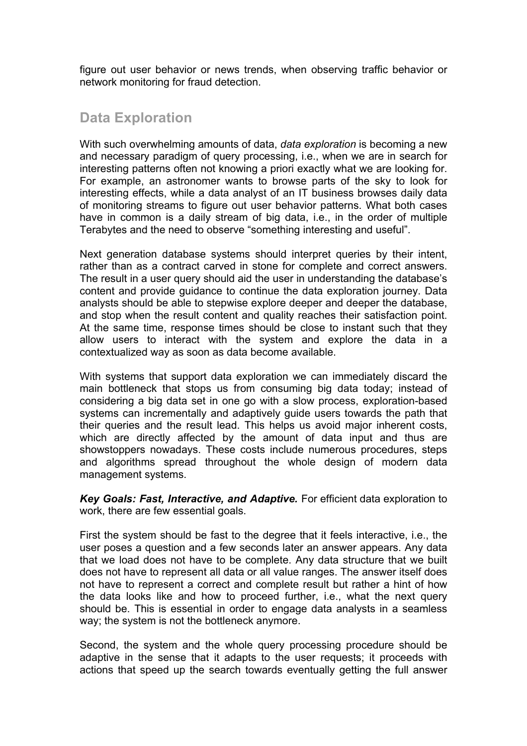figure out user behavior or news trends, when observing traffic behavior or network monitoring for fraud detection.

# **Data Exploration**

With such overwhelming amounts of data, *data exploration* is becoming a new and necessary paradigm of query processing, i.e., when we are in search for interesting patterns often not knowing a priori exactly what we are looking for. For example, an astronomer wants to browse parts of the sky to look for interesting effects, while a data analyst of an IT business browses daily data of monitoring streams to figure out user behavior patterns. What both cases have in common is a daily stream of big data, i.e., in the order of multiple Terabytes and the need to observe "something interesting and useful".

Next generation database systems should interpret queries by their intent, rather than as a contract carved in stone for complete and correct answers. The result in a user query should aid the user in understanding the database's content and provide guidance to continue the data exploration journey. Data analysts should be able to stepwise explore deeper and deeper the database, and stop when the result content and quality reaches their satisfaction point. At the same time, response times should be close to instant such that they allow users to interact with the system and explore the data in a contextualized way as soon as data become available.

With systems that support data exploration we can immediately discard the main bottleneck that stops us from consuming big data today; instead of considering a big data set in one go with a slow process, exploration-based systems can incrementally and adaptively guide users towards the path that their queries and the result lead. This helps us avoid major inherent costs, which are directly affected by the amount of data input and thus are showstoppers nowadays. These costs include numerous procedures, steps and algorithms spread throughout the whole design of modern data management systems.

*Key Goals: Fast, Interactive, and Adaptive.* For efficient data exploration to work, there are few essential goals.

First the system should be fast to the degree that it feels interactive, i.e., the user poses a question and a few seconds later an answer appears. Any data that we load does not have to be complete. Any data structure that we built does not have to represent all data or all value ranges. The answer itself does not have to represent a correct and complete result but rather a hint of how the data looks like and how to proceed further, i.e., what the next query should be. This is essential in order to engage data analysts in a seamless way; the system is not the bottleneck anymore.

Second, the system and the whole query processing procedure should be adaptive in the sense that it adapts to the user requests; it proceeds with actions that speed up the search towards eventually getting the full answer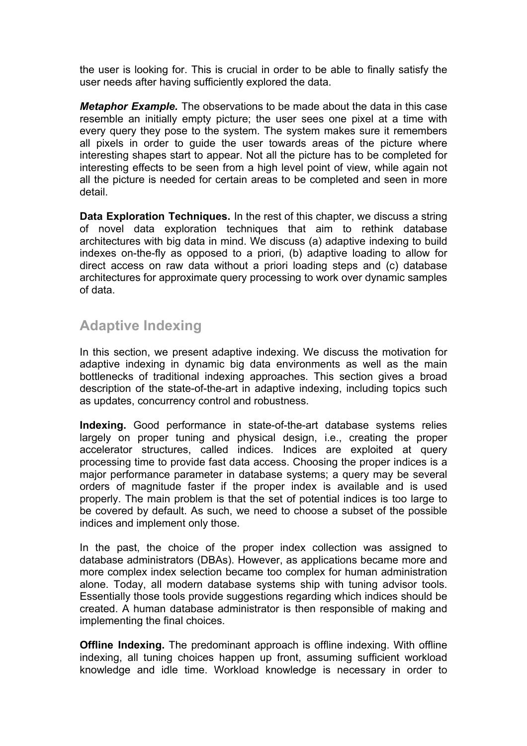the user is looking for. This is crucial in order to be able to finally satisfy the user needs after having sufficiently explored the data.

*Metaphor Example.* The observations to be made about the data in this case resemble an initially empty picture; the user sees one pixel at a time with every query they pose to the system. The system makes sure it remembers all pixels in order to guide the user towards areas of the picture where interesting shapes start to appear. Not all the picture has to be completed for interesting effects to be seen from a high level point of view, while again not all the picture is needed for certain areas to be completed and seen in more detail.

**Data Exploration Techniques.** In the rest of this chapter, we discuss a string of novel data exploration techniques that aim to rethink database architectures with big data in mind. We discuss (a) adaptive indexing to build indexes on-the-fly as opposed to a priori, (b) adaptive loading to allow for direct access on raw data without a priori loading steps and (c) database architectures for approximate query processing to work over dynamic samples of data.

### **Adaptive Indexing**

In this section, we present adaptive indexing. We discuss the motivation for adaptive indexing in dynamic big data environments as well as the main bottlenecks of traditional indexing approaches. This section gives a broad description of the state-of-the-art in adaptive indexing, including topics such as updates, concurrency control and robustness.

**Indexing.** Good performance in state-of-the-art database systems relies largely on proper tuning and physical design, i.e., creating the proper accelerator structures, called indices. Indices are exploited at query processing time to provide fast data access. Choosing the proper indices is a major performance parameter in database systems; a query may be several orders of magnitude faster if the proper index is available and is used properly. The main problem is that the set of potential indices is too large to be covered by default. As such, we need to choose a subset of the possible indices and implement only those.

In the past, the choice of the proper index collection was assigned to database administrators (DBAs). However, as applications became more and more complex index selection became too complex for human administration alone. Today, all modern database systems ship with tuning advisor tools. Essentially those tools provide suggestions regarding which indices should be created. A human database administrator is then responsible of making and implementing the final choices.

**Offline Indexing.** The predominant approach is offline indexing. With offline indexing, all tuning choices happen up front, assuming sufficient workload knowledge and idle time. Workload knowledge is necessary in order to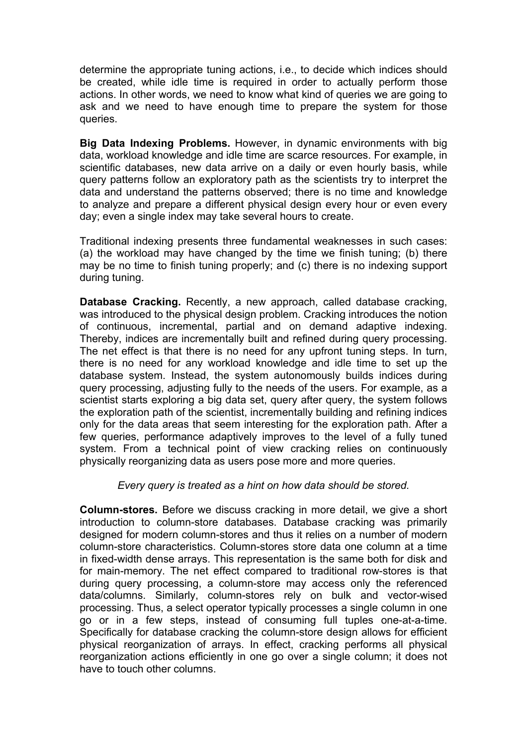determine the appropriate tuning actions, i.e., to decide which indices should be created, while idle time is required in order to actually perform those actions. In other words, we need to know what kind of queries we are going to ask and we need to have enough time to prepare the system for those queries.

**Big Data Indexing Problems.** However, in dynamic environments with big data, workload knowledge and idle time are scarce resources. For example, in scientific databases, new data arrive on a daily or even hourly basis, while query patterns follow an exploratory path as the scientists try to interpret the data and understand the patterns observed; there is no time and knowledge to analyze and prepare a different physical design every hour or even every day; even a single index may take several hours to create.

Traditional indexing presents three fundamental weaknesses in such cases: (a) the workload may have changed by the time we finish tuning; (b) there may be no time to finish tuning properly; and (c) there is no indexing support during tuning.

**Database Cracking.** Recently, a new approach, called database cracking, was introduced to the physical design problem. Cracking introduces the notion of continuous, incremental, partial and on demand adaptive indexing. Thereby, indices are incrementally built and refined during query processing. The net effect is that there is no need for any upfront tuning steps. In turn, there is no need for any workload knowledge and idle time to set up the database system. Instead, the system autonomously builds indices during query processing, adjusting fully to the needs of the users. For example, as a scientist starts exploring a big data set, query after query, the system follows the exploration path of the scientist, incrementally building and refining indices only for the data areas that seem interesting for the exploration path. After a few queries, performance adaptively improves to the level of a fully tuned system. From a technical point of view cracking relies on continuously physically reorganizing data as users pose more and more queries.

*Every query is treated as a hint on how data should be stored.*

**Column-stores.** Before we discuss cracking in more detail, we give a short introduction to column-store databases. Database cracking was primarily designed for modern column-stores and thus it relies on a number of modern column-store characteristics. Column-stores store data one column at a time in fixed-width dense arrays. This representation is the same both for disk and for main-memory. The net effect compared to traditional row-stores is that during query processing, a column-store may access only the referenced data/columns. Similarly, column-stores rely on bulk and vector-wised processing. Thus, a select operator typically processes a single column in one go or in a few steps, instead of consuming full tuples one-at-a-time. Specifically for database cracking the column-store design allows for efficient physical reorganization of arrays. In effect, cracking performs all physical reorganization actions efficiently in one go over a single column; it does not have to touch other columns.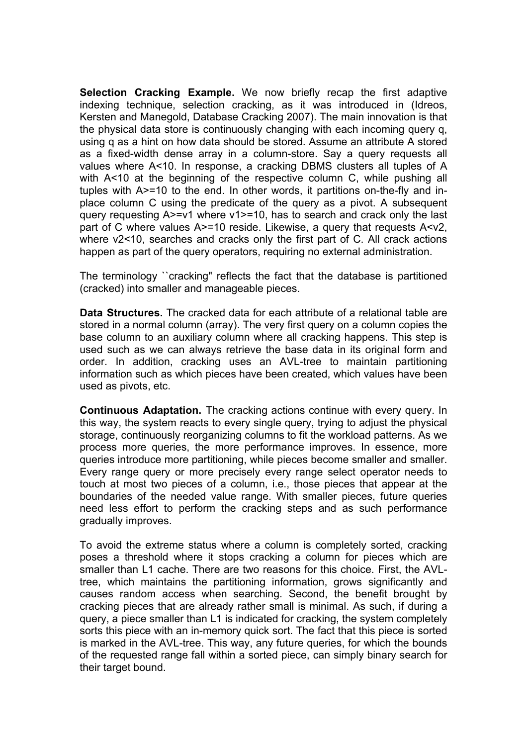**Selection Cracking Example.** We now briefly recap the first adaptive indexing technique, selection cracking, as it was introduced in (Idreos, Kersten and Manegold, Database Cracking 2007). The main innovation is that the physical data store is continuously changing with each incoming query q, using q as a hint on how data should be stored. Assume an attribute A stored as a fixed-width dense array in a column-store. Say a query requests all values where A<10. In response, a cracking DBMS clusters all tuples of A with A<10 at the beginning of the respective column C, while pushing all tuples with A>=10 to the end. In other words, it partitions on-the-fly and inplace column C using the predicate of the query as a pivot. A subsequent query requesting A>=v1 where v1>=10, has to search and crack only the last part of C where values A>=10 reside. Likewise, a query that requests A<v2, where v2<10, searches and cracks only the first part of C. All crack actions happen as part of the query operators, requiring no external administration.

The terminology ``cracking" reflects the fact that the database is partitioned (cracked) into smaller and manageable pieces.

**Data Structures.** The cracked data for each attribute of a relational table are stored in a normal column (array). The very first query on a column copies the base column to an auxiliary column where all cracking happens. This step is used such as we can always retrieve the base data in its original form and order. In addition, cracking uses an AVL-tree to maintain partitioning information such as which pieces have been created, which values have been used as pivots, etc.

**Continuous Adaptation.** The cracking actions continue with every query. In this way, the system reacts to every single query, trying to adjust the physical storage, continuously reorganizing columns to fit the workload patterns. As we process more queries, the more performance improves. In essence, more queries introduce more partitioning, while pieces become smaller and smaller. Every range query or more precisely every range select operator needs to touch at most two pieces of a column, i.e., those pieces that appear at the boundaries of the needed value range. With smaller pieces, future queries need less effort to perform the cracking steps and as such performance gradually improves.

To avoid the extreme status where a column is completely sorted, cracking poses a threshold where it stops cracking a column for pieces which are smaller than L1 cache. There are two reasons for this choice. First, the AVLtree, which maintains the partitioning information, grows significantly and causes random access when searching. Second, the benefit brought by cracking pieces that are already rather small is minimal. As such, if during a query, a piece smaller than L1 is indicated for cracking, the system completely sorts this piece with an in-memory quick sort. The fact that this piece is sorted is marked in the AVL-tree. This way, any future queries, for which the bounds of the requested range fall within a sorted piece, can simply binary search for their target bound.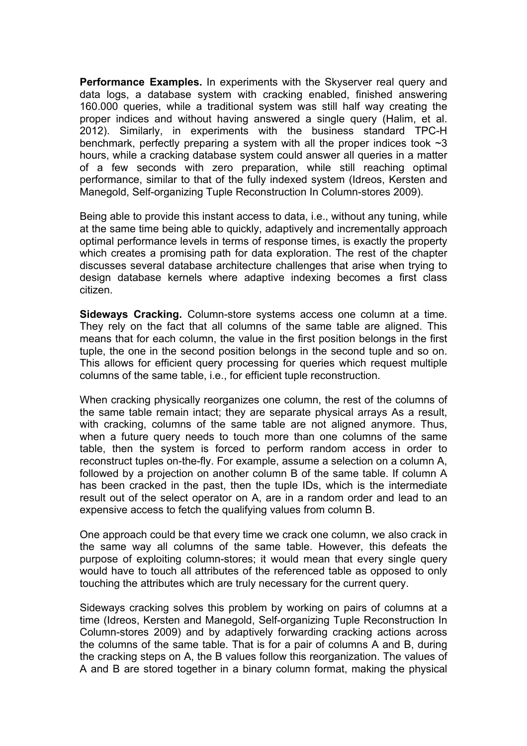**Performance Examples.** In experiments with the Skyserver real query and data logs, a database system with cracking enabled, finished answering 160.000 queries, while a traditional system was still half way creating the proper indices and without having answered a single query (Halim, et al. 2012). Similarly, in experiments with the business standard TPC-H benchmark, perfectly preparing a system with all the proper indices took  $\sim$ 3 hours, while a cracking database system could answer all queries in a matter of a few seconds with zero preparation, while still reaching optimal performance, similar to that of the fully indexed system (Idreos, Kersten and Manegold, Self-organizing Tuple Reconstruction In Column-stores 2009).

Being able to provide this instant access to data, i.e., without any tuning, while at the same time being able to quickly, adaptively and incrementally approach optimal performance levels in terms of response times, is exactly the property which creates a promising path for data exploration. The rest of the chapter discusses several database architecture challenges that arise when trying to design database kernels where adaptive indexing becomes a first class citizen.

**Sideways Cracking.** Column-store systems access one column at a time. They rely on the fact that all columns of the same table are aligned. This means that for each column, the value in the first position belongs in the first tuple, the one in the second position belongs in the second tuple and so on. This allows for efficient query processing for queries which request multiple columns of the same table, i.e., for efficient tuple reconstruction.

When cracking physically reorganizes one column, the rest of the columns of the same table remain intact; they are separate physical arrays As a result, with cracking, columns of the same table are not aligned anymore. Thus, when a future query needs to touch more than one columns of the same table, then the system is forced to perform random access in order to reconstruct tuples on-the-fly. For example, assume a selection on a column A, followed by a projection on another column B of the same table. If column A has been cracked in the past, then the tuple IDs, which is the intermediate result out of the select operator on A, are in a random order and lead to an expensive access to fetch the qualifying values from column B.

One approach could be that every time we crack one column, we also crack in the same way all columns of the same table. However, this defeats the purpose of exploiting column-stores; it would mean that every single query would have to touch all attributes of the referenced table as opposed to only touching the attributes which are truly necessary for the current query.

Sideways cracking solves this problem by working on pairs of columns at a time (Idreos, Kersten and Manegold, Self-organizing Tuple Reconstruction In Column-stores 2009) and by adaptively forwarding cracking actions across the columns of the same table. That is for a pair of columns A and B, during the cracking steps on A, the B values follow this reorganization. The values of A and B are stored together in a binary column format, making the physical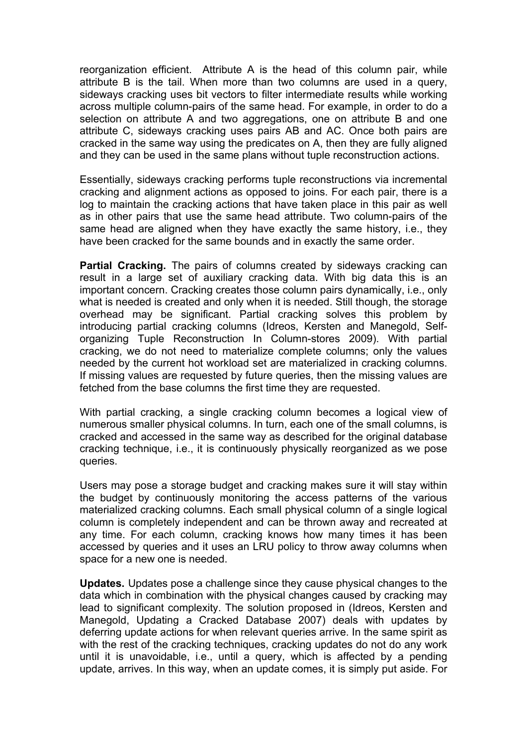reorganization efficient. Attribute A is the head of this column pair, while attribute B is the tail. When more than two columns are used in a query, sideways cracking uses bit vectors to filter intermediate results while working across multiple column-pairs of the same head. For example, in order to do a selection on attribute A and two aggregations, one on attribute B and one attribute C, sideways cracking uses pairs AB and AC. Once both pairs are cracked in the same way using the predicates on A, then they are fully aligned and they can be used in the same plans without tuple reconstruction actions.

Essentially, sideways cracking performs tuple reconstructions via incremental cracking and alignment actions as opposed to joins. For each pair, there is a log to maintain the cracking actions that have taken place in this pair as well as in other pairs that use the same head attribute. Two column-pairs of the same head are aligned when they have exactly the same history, i.e., they have been cracked for the same bounds and in exactly the same order.

**Partial Cracking.** The pairs of columns created by sideways cracking can result in a large set of auxiliary cracking data. With big data this is an important concern. Cracking creates those column pairs dynamically, i.e., only what is needed is created and only when it is needed. Still though, the storage overhead may be significant. Partial cracking solves this problem by introducing partial cracking columns (Idreos, Kersten and Manegold, Selforganizing Tuple Reconstruction In Column-stores 2009). With partial cracking, we do not need to materialize complete columns; only the values needed by the current hot workload set are materialized in cracking columns. If missing values are requested by future queries, then the missing values are fetched from the base columns the first time they are requested.

With partial cracking, a single cracking column becomes a logical view of numerous smaller physical columns. In turn, each one of the small columns, is cracked and accessed in the same way as described for the original database cracking technique, i.e., it is continuously physically reorganized as we pose queries.

Users may pose a storage budget and cracking makes sure it will stay within the budget by continuously monitoring the access patterns of the various materialized cracking columns. Each small physical column of a single logical column is completely independent and can be thrown away and recreated at any time. For each column, cracking knows how many times it has been accessed by queries and it uses an LRU policy to throw away columns when space for a new one is needed.

**Updates.** Updates pose a challenge since they cause physical changes to the data which in combination with the physical changes caused by cracking may lead to significant complexity. The solution proposed in (Idreos, Kersten and Manegold, Updating a Cracked Database 2007) deals with updates by deferring update actions for when relevant queries arrive. In the same spirit as with the rest of the cracking techniques, cracking updates do not do any work until it is unavoidable, i.e., until a query, which is affected by a pending update, arrives. In this way, when an update comes, it is simply put aside. For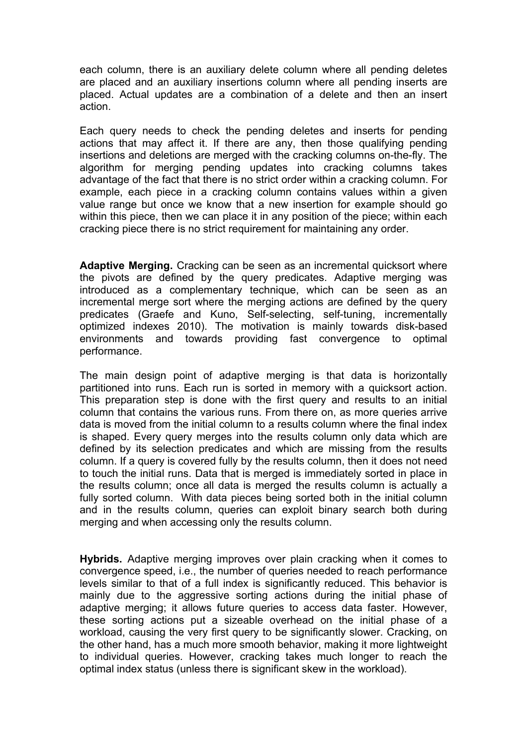each column, there is an auxiliary delete column where all pending deletes are placed and an auxiliary insertions column where all pending inserts are placed. Actual updates are a combination of a delete and then an insert action.

Each query needs to check the pending deletes and inserts for pending actions that may affect it. If there are any, then those qualifying pending insertions and deletions are merged with the cracking columns on-the-fly. The algorithm for merging pending updates into cracking columns takes advantage of the fact that there is no strict order within a cracking column. For example, each piece in a cracking column contains values within a given value range but once we know that a new insertion for example should go within this piece, then we can place it in any position of the piece; within each cracking piece there is no strict requirement for maintaining any order.

**Adaptive Merging.** Cracking can be seen as an incremental quicksort where the pivots are defined by the query predicates. Adaptive merging was introduced as a complementary technique, which can be seen as an incremental merge sort where the merging actions are defined by the query predicates (Graefe and Kuno, Self-selecting, self-tuning, incrementally optimized indexes 2010). The motivation is mainly towards disk-based environments and towards providing fast convergence to optimal performance.

The main design point of adaptive merging is that data is horizontally partitioned into runs. Each run is sorted in memory with a quicksort action. This preparation step is done with the first query and results to an initial column that contains the various runs. From there on, as more queries arrive data is moved from the initial column to a results column where the final index is shaped. Every query merges into the results column only data which are defined by its selection predicates and which are missing from the results column. If a query is covered fully by the results column, then it does not need to touch the initial runs. Data that is merged is immediately sorted in place in the results column; once all data is merged the results column is actually a fully sorted column. With data pieces being sorted both in the initial column and in the results column, queries can exploit binary search both during merging and when accessing only the results column.

**Hybrids.** Adaptive merging improves over plain cracking when it comes to convergence speed, i.e., the number of queries needed to reach performance levels similar to that of a full index is significantly reduced. This behavior is mainly due to the aggressive sorting actions during the initial phase of adaptive merging; it allows future queries to access data faster. However, these sorting actions put a sizeable overhead on the initial phase of a workload, causing the very first query to be significantly slower. Cracking, on the other hand, has a much more smooth behavior, making it more lightweight to individual queries. However, cracking takes much longer to reach the optimal index status (unless there is significant skew in the workload).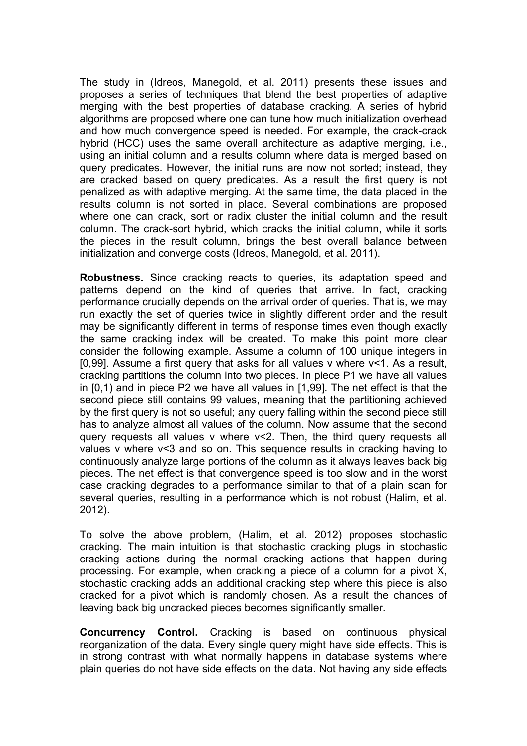The study in (Idreos, Manegold, et al. 2011) presents these issues and proposes a series of techniques that blend the best properties of adaptive merging with the best properties of database cracking. A series of hybrid algorithms are proposed where one can tune how much initialization overhead and how much convergence speed is needed. For example, the crack-crack hybrid (HCC) uses the same overall architecture as adaptive merging, i.e., using an initial column and a results column where data is merged based on query predicates. However, the initial runs are now not sorted; instead, they are cracked based on query predicates. As a result the first query is not penalized as with adaptive merging. At the same time, the data placed in the results column is not sorted in place. Several combinations are proposed where one can crack, sort or radix cluster the initial column and the result column. The crack-sort hybrid, which cracks the initial column, while it sorts the pieces in the result column, brings the best overall balance between initialization and converge costs (Idreos, Manegold, et al. 2011).

**Robustness.** Since cracking reacts to queries, its adaptation speed and patterns depend on the kind of queries that arrive. In fact, cracking performance crucially depends on the arrival order of queries. That is, we may run exactly the set of queries twice in slightly different order and the result may be significantly different in terms of response times even though exactly the same cracking index will be created. To make this point more clear consider the following example. Assume a column of 100 unique integers in [0,99]. Assume a first query that asks for all values v where v<1. As a result, cracking partitions the column into two pieces. In piece P1 we have all values in [0,1) and in piece P2 we have all values in [1,99]. The net effect is that the second piece still contains 99 values, meaning that the partitioning achieved by the first query is not so useful; any query falling within the second piece still has to analyze almost all values of the column. Now assume that the second query requests all values v where v<2. Then, the third query requests all values v where v<3 and so on. This sequence results in cracking having to continuously analyze large portions of the column as it always leaves back big pieces. The net effect is that convergence speed is too slow and in the worst case cracking degrades to a performance similar to that of a plain scan for several queries, resulting in a performance which is not robust (Halim, et al. 2012).

To solve the above problem, (Halim, et al. 2012) proposes stochastic cracking. The main intuition is that stochastic cracking plugs in stochastic cracking actions during the normal cracking actions that happen during processing. For example, when cracking a piece of a column for a pivot X, stochastic cracking adds an additional cracking step where this piece is also cracked for a pivot which is randomly chosen. As a result the chances of leaving back big uncracked pieces becomes significantly smaller.

**Concurrency Control.** Cracking is based on continuous physical reorganization of the data. Every single query might have side effects. This is in strong contrast with what normally happens in database systems where plain queries do not have side effects on the data. Not having any side effects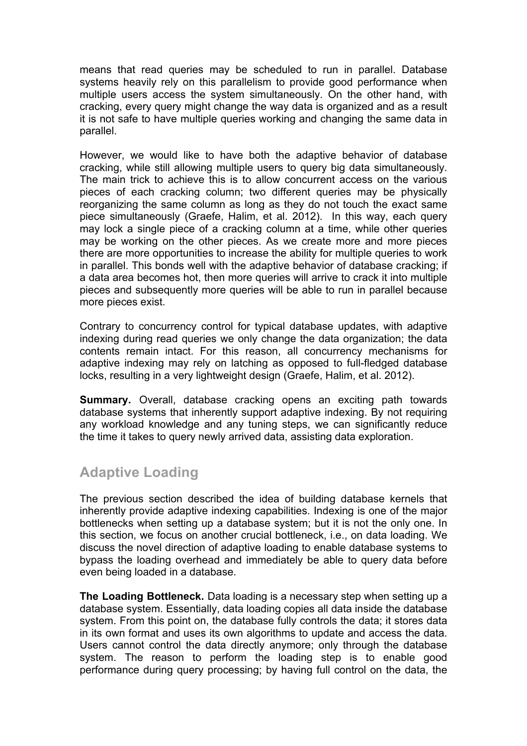means that read queries may be scheduled to run in parallel. Database systems heavily rely on this parallelism to provide good performance when multiple users access the system simultaneously. On the other hand, with cracking, every query might change the way data is organized and as a result it is not safe to have multiple queries working and changing the same data in parallel.

However, we would like to have both the adaptive behavior of database cracking, while still allowing multiple users to query big data simultaneously. The main trick to achieve this is to allow concurrent access on the various pieces of each cracking column; two different queries may be physically reorganizing the same column as long as they do not touch the exact same piece simultaneously (Graefe, Halim, et al. 2012). In this way, each query may lock a single piece of a cracking column at a time, while other queries may be working on the other pieces. As we create more and more pieces there are more opportunities to increase the ability for multiple queries to work in parallel. This bonds well with the adaptive behavior of database cracking; if a data area becomes hot, then more queries will arrive to crack it into multiple pieces and subsequently more queries will be able to run in parallel because more pieces exist.

Contrary to concurrency control for typical database updates, with adaptive indexing during read queries we only change the data organization; the data contents remain intact. For this reason, all concurrency mechanisms for adaptive indexing may rely on latching as opposed to full-fledged database locks, resulting in a very lightweight design (Graefe, Halim, et al. 2012).

**Summary.** Overall, database cracking opens an exciting path towards database systems that inherently support adaptive indexing. By not requiring any workload knowledge and any tuning steps, we can significantly reduce the time it takes to query newly arrived data, assisting data exploration.

# **Adaptive Loading**

The previous section described the idea of building database kernels that inherently provide adaptive indexing capabilities. Indexing is one of the major bottlenecks when setting up a database system; but it is not the only one. In this section, we focus on another crucial bottleneck, i.e., on data loading. We discuss the novel direction of adaptive loading to enable database systems to bypass the loading overhead and immediately be able to query data before even being loaded in a database.

**The Loading Bottleneck.** Data loading is a necessary step when setting up a database system. Essentially, data loading copies all data inside the database system. From this point on, the database fully controls the data; it stores data in its own format and uses its own algorithms to update and access the data. Users cannot control the data directly anymore; only through the database system. The reason to perform the loading step is to enable good performance during query processing; by having full control on the data, the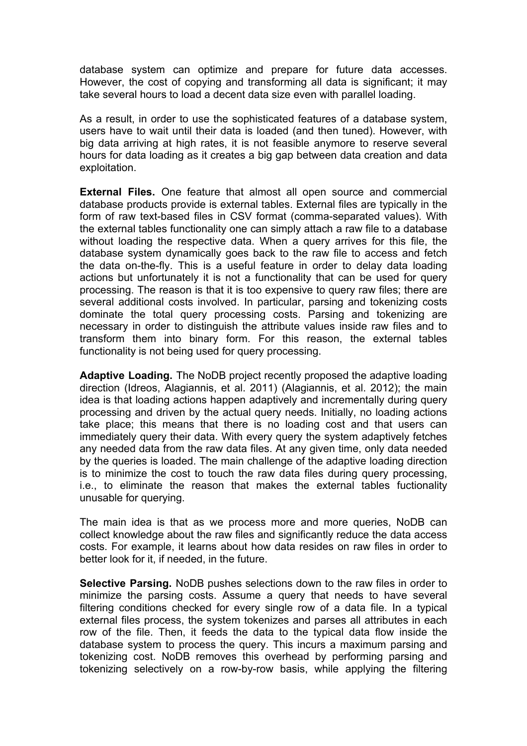database system can optimize and prepare for future data accesses. However, the cost of copying and transforming all data is significant; it may take several hours to load a decent data size even with parallel loading.

As a result, in order to use the sophisticated features of a database system, users have to wait until their data is loaded (and then tuned). However, with big data arriving at high rates, it is not feasible anymore to reserve several hours for data loading as it creates a big gap between data creation and data exploitation.

**External Files.** One feature that almost all open source and commercial database products provide is external tables. External files are typically in the form of raw text-based files in CSV format (comma-separated values). With the external tables functionality one can simply attach a raw file to a database without loading the respective data. When a query arrives for this file, the database system dynamically goes back to the raw file to access and fetch the data on-the-fly. This is a useful feature in order to delay data loading actions but unfortunately it is not a functionality that can be used for query processing. The reason is that it is too expensive to query raw files; there are several additional costs involved. In particular, parsing and tokenizing costs dominate the total query processing costs. Parsing and tokenizing are necessary in order to distinguish the attribute values inside raw files and to transform them into binary form. For this reason, the external tables functionality is not being used for query processing.

**Adaptive Loading.** The NoDB project recently proposed the adaptive loading direction (Idreos, Alagiannis, et al. 2011) (Alagiannis, et al. 2012); the main idea is that loading actions happen adaptively and incrementally during query processing and driven by the actual query needs. Initially, no loading actions take place; this means that there is no loading cost and that users can immediately query their data. With every query the system adaptively fetches any needed data from the raw data files. At any given time, only data needed by the queries is loaded. The main challenge of the adaptive loading direction is to minimize the cost to touch the raw data files during query processing, i.e., to eliminate the reason that makes the external tables fuctionality unusable for querying.

The main idea is that as we process more and more queries, NoDB can collect knowledge about the raw files and significantly reduce the data access costs. For example, it learns about how data resides on raw files in order to better look for it, if needed, in the future.

**Selective Parsing.** NoDB pushes selections down to the raw files in order to minimize the parsing costs. Assume a query that needs to have several filtering conditions checked for every single row of a data file. In a typical external files process, the system tokenizes and parses all attributes in each row of the file. Then, it feeds the data to the typical data flow inside the database system to process the query. This incurs a maximum parsing and tokenizing cost. NoDB removes this overhead by performing parsing and tokenizing selectively on a row-by-row basis, while applying the filtering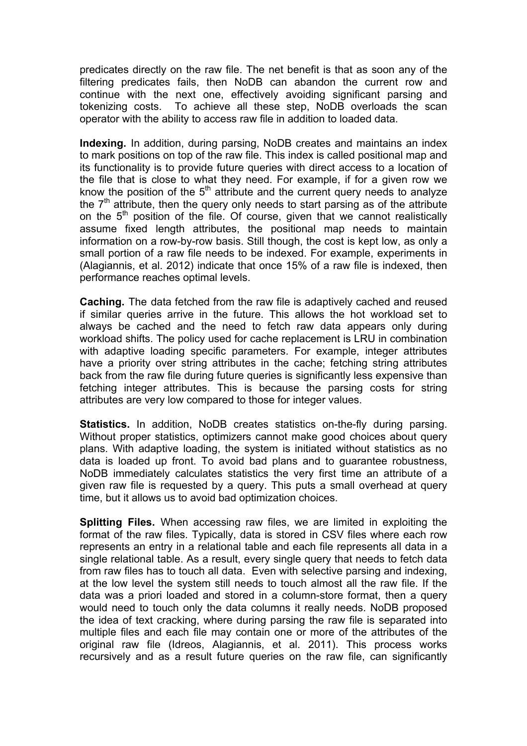predicates directly on the raw file. The net benefit is that as soon any of the filtering predicates fails, then NoDB can abandon the current row and continue with the next one, effectively avoiding significant parsing and tokenizing costs. To achieve all these step, NoDB overloads the scan operator with the ability to access raw file in addition to loaded data.

**Indexing.** In addition, during parsing, NoDB creates and maintains an index to mark positions on top of the raw file. This index is called positional map and its functionality is to provide future queries with direct access to a location of the file that is close to what they need. For example, if for a given row we know the position of the  $5<sup>th</sup>$  attribute and the current query needs to analyze the  $7<sup>th</sup>$  attribute, then the query only needs to start parsing as of the attribute on the  $5<sup>th</sup>$  position of the file. Of course, given that we cannot realistically assume fixed length attributes, the positional map needs to maintain information on a row-by-row basis. Still though, the cost is kept low, as only a small portion of a raw file needs to be indexed. For example, experiments in (Alagiannis, et al. 2012) indicate that once 15% of a raw file is indexed, then performance reaches optimal levels.

**Caching.** The data fetched from the raw file is adaptively cached and reused if similar queries arrive in the future. This allows the hot workload set to always be cached and the need to fetch raw data appears only during workload shifts. The policy used for cache replacement is LRU in combination with adaptive loading specific parameters. For example, integer attributes have a priority over string attributes in the cache; fetching string attributes back from the raw file during future queries is significantly less expensive than fetching integer attributes. This is because the parsing costs for string attributes are very low compared to those for integer values.

**Statistics.** In addition, NoDB creates statistics on-the-fly during parsing. Without proper statistics, optimizers cannot make good choices about query plans. With adaptive loading, the system is initiated without statistics as no data is loaded up front. To avoid bad plans and to guarantee robustness, NoDB immediately calculates statistics the very first time an attribute of a given raw file is requested by a query. This puts a small overhead at query time, but it allows us to avoid bad optimization choices.

**Splitting Files.** When accessing raw files, we are limited in exploiting the format of the raw files. Typically, data is stored in CSV files where each row represents an entry in a relational table and each file represents all data in a single relational table. As a result, every single query that needs to fetch data from raw files has to touch all data. Even with selective parsing and indexing, at the low level the system still needs to touch almost all the raw file. If the data was a priori loaded and stored in a column-store format, then a query would need to touch only the data columns it really needs. NoDB proposed the idea of text cracking, where during parsing the raw file is separated into multiple files and each file may contain one or more of the attributes of the original raw file (Idreos, Alagiannis, et al. 2011). This process works recursively and as a result future queries on the raw file, can significantly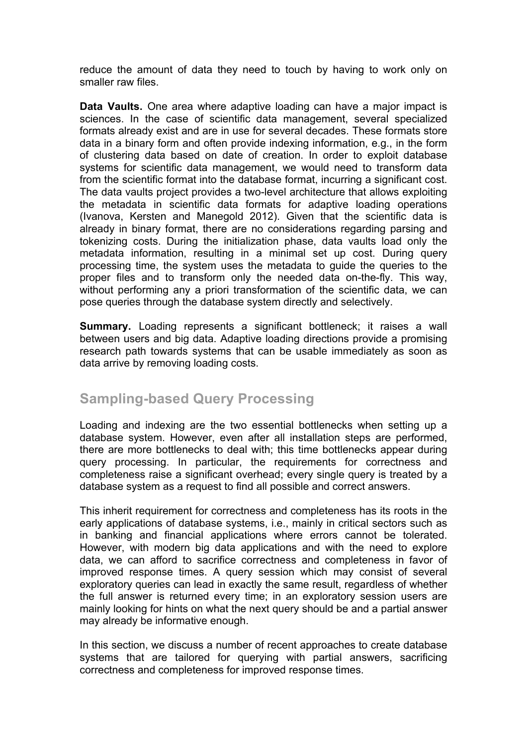reduce the amount of data they need to touch by having to work only on smaller raw files.

**Data Vaults.** One area where adaptive loading can have a major impact is sciences. In the case of scientific data management, several specialized formats already exist and are in use for several decades. These formats store data in a binary form and often provide indexing information, e.g., in the form of clustering data based on date of creation. In order to exploit database systems for scientific data management, we would need to transform data from the scientific format into the database format, incurring a significant cost. The data vaults project provides a two-level architecture that allows exploiting the metadata in scientific data formats for adaptive loading operations (Ivanova, Kersten and Manegold 2012). Given that the scientific data is already in binary format, there are no considerations regarding parsing and tokenizing costs. During the initialization phase, data vaults load only the metadata information, resulting in a minimal set up cost. During query processing time, the system uses the metadata to guide the queries to the proper files and to transform only the needed data on-the-fly. This way, without performing any a priori transformation of the scientific data, we can pose queries through the database system directly and selectively.

**Summary.** Loading represents a significant bottleneck; it raises a wall between users and big data. Adaptive loading directions provide a promising research path towards systems that can be usable immediately as soon as data arrive by removing loading costs.

# **Sampling-based Query Processing**

Loading and indexing are the two essential bottlenecks when setting up a database system. However, even after all installation steps are performed, there are more bottlenecks to deal with; this time bottlenecks appear during query processing. In particular, the requirements for correctness and completeness raise a significant overhead; every single query is treated by a database system as a request to find all possible and correct answers.

This inherit requirement for correctness and completeness has its roots in the early applications of database systems, i.e., mainly in critical sectors such as in banking and financial applications where errors cannot be tolerated. However, with modern big data applications and with the need to explore data, we can afford to sacrifice correctness and completeness in favor of improved response times. A query session which may consist of several exploratory queries can lead in exactly the same result, regardless of whether the full answer is returned every time; in an exploratory session users are mainly looking for hints on what the next query should be and a partial answer may already be informative enough.

In this section, we discuss a number of recent approaches to create database systems that are tailored for querying with partial answers, sacrificing correctness and completeness for improved response times.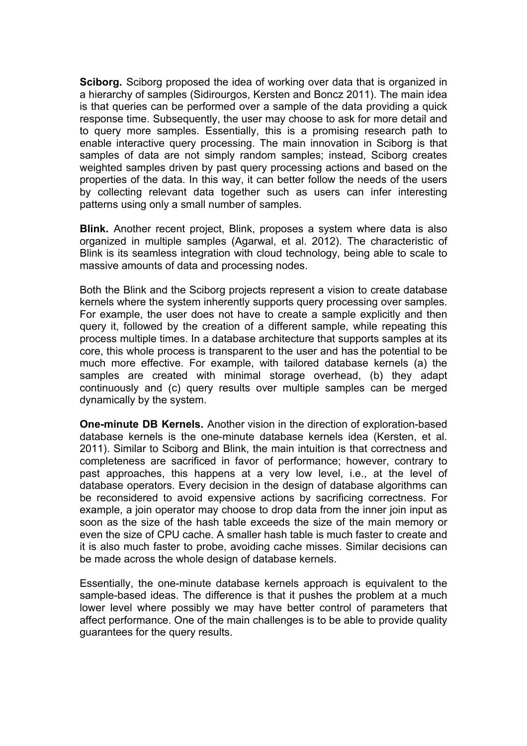**Sciborg.** Sciborg proposed the idea of working over data that is organized in a hierarchy of samples (Sidirourgos, Kersten and Boncz 2011). The main idea is that queries can be performed over a sample of the data providing a quick response time. Subsequently, the user may choose to ask for more detail and to query more samples. Essentially, this is a promising research path to enable interactive query processing. The main innovation in Sciborg is that samples of data are not simply random samples; instead, Sciborg creates weighted samples driven by past query processing actions and based on the properties of the data. In this way, it can better follow the needs of the users by collecting relevant data together such as users can infer interesting patterns using only a small number of samples.

**Blink.** Another recent project, Blink, proposes a system where data is also organized in multiple samples (Agarwal, et al. 2012). The characteristic of Blink is its seamless integration with cloud technology, being able to scale to massive amounts of data and processing nodes.

Both the Blink and the Sciborg projects represent a vision to create database kernels where the system inherently supports query processing over samples. For example, the user does not have to create a sample explicitly and then query it, followed by the creation of a different sample, while repeating this process multiple times. In a database architecture that supports samples at its core, this whole process is transparent to the user and has the potential to be much more effective. For example, with tailored database kernels (a) the samples are created with minimal storage overhead, (b) they adapt continuously and (c) query results over multiple samples can be merged dynamically by the system.

**One-minute DB Kernels.** Another vision in the direction of exploration-based database kernels is the one-minute database kernels idea (Kersten, et al. 2011). Similar to Sciborg and Blink, the main intuition is that correctness and completeness are sacrificed in favor of performance; however, contrary to past approaches, this happens at a very low level, i.e., at the level of database operators. Every decision in the design of database algorithms can be reconsidered to avoid expensive actions by sacrificing correctness. For example, a join operator may choose to drop data from the inner join input as soon as the size of the hash table exceeds the size of the main memory or even the size of CPU cache. A smaller hash table is much faster to create and it is also much faster to probe, avoiding cache misses. Similar decisions can be made across the whole design of database kernels.

Essentially, the one-minute database kernels approach is equivalent to the sample-based ideas. The difference is that it pushes the problem at a much lower level where possibly we may have better control of parameters that affect performance. One of the main challenges is to be able to provide quality guarantees for the query results.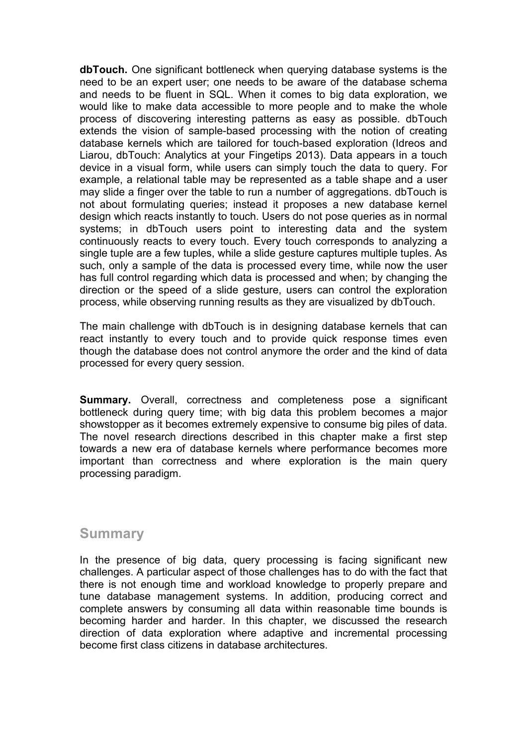**dbTouch.** One significant bottleneck when querying database systems is the need to be an expert user; one needs to be aware of the database schema and needs to be fluent in SQL. When it comes to big data exploration, we would like to make data accessible to more people and to make the whole process of discovering interesting patterns as easy as possible. dbTouch extends the vision of sample-based processing with the notion of creating database kernels which are tailored for touch-based exploration (Idreos and Liarou, dbTouch: Analytics at your Fingetips 2013). Data appears in a touch device in a visual form, while users can simply touch the data to query. For example, a relational table may be represented as a table shape and a user may slide a finger over the table to run a number of aggregations. dbTouch is not about formulating queries; instead it proposes a new database kernel design which reacts instantly to touch. Users do not pose queries as in normal systems; in dbTouch users point to interesting data and the system continuously reacts to every touch. Every touch corresponds to analyzing a single tuple are a few tuples, while a slide gesture captures multiple tuples. As such, only a sample of the data is processed every time, while now the user has full control regarding which data is processed and when; by changing the direction or the speed of a slide gesture, users can control the exploration process, while observing running results as they are visualized by dbTouch.

The main challenge with dbTouch is in designing database kernels that can react instantly to every touch and to provide quick response times even though the database does not control anymore the order and the kind of data processed for every query session.

**Summary.** Overall, correctness and completeness pose a significant bottleneck during query time; with big data this problem becomes a major showstopper as it becomes extremely expensive to consume big piles of data. The novel research directions described in this chapter make a first step towards a new era of database kernels where performance becomes more important than correctness and where exploration is the main query processing paradigm.

#### **Summary**

In the presence of big data, query processing is facing significant new challenges. A particular aspect of those challenges has to do with the fact that there is not enough time and workload knowledge to properly prepare and tune database management systems. In addition, producing correct and complete answers by consuming all data within reasonable time bounds is becoming harder and harder. In this chapter, we discussed the research direction of data exploration where adaptive and incremental processing become first class citizens in database architectures.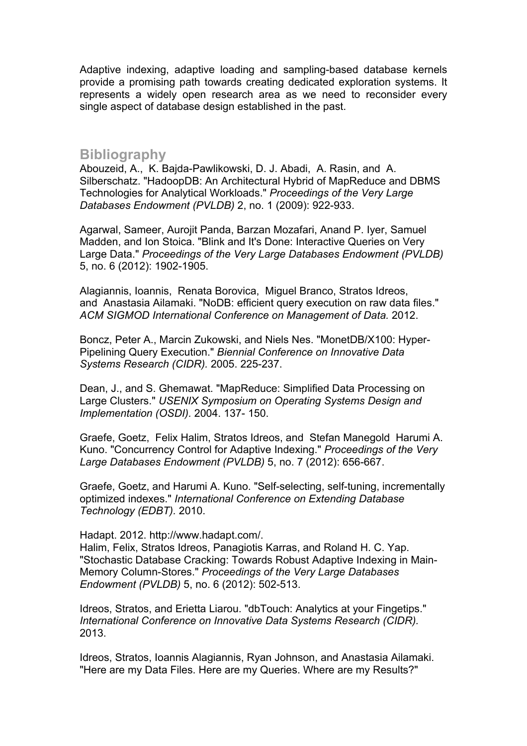Adaptive indexing, adaptive loading and sampling-based database kernels provide a promising path towards creating dedicated exploration systems. It represents a widely open research area as we need to reconsider every single aspect of database design established in the past.

#### **Bibliography**

Abouzeid, A., K. Bajda-Pawlikowski, D. J. Abadi, A. Rasin, and A. Silberschatz. "HadoopDB: An Architectural Hybrid of MapReduce and DBMS Technologies for Analytical Workloads." *Proceedings of the Very Large Databases Endowment (PVLDB)* 2, no. 1 (2009): 922-933.

Agarwal, Sameer, Aurojit Panda, Barzan Mozafari, Anand P. Iyer, Samuel Madden, and Ion Stoica. "Blink and It's Done: Interactive Queries on Very Large Data." *Proceedings of the Very Large Databases Endowment (PVLDB)* 5, no. 6 (2012): 1902-1905.

Alagiannis, Ioannis, Renata Borovica, Miguel Branco, Stratos Idreos, and Anastasia Ailamaki. "NoDB: efficient query execution on raw data files." *ACM SIGMOD International Conference on Management of Data.* 2012.

Boncz, Peter A., Marcin Zukowski, and Niels Nes. "MonetDB/X100: Hyper-Pipelining Query Execution." *Biennial Conference on Innovative Data Systems Research (CIDR).* 2005. 225-237.

Dean, J., and S. Ghemawat. "MapReduce: Simplified Data Processing on Large Clusters." *USENIX Symposium on Operating Systems Design and Implementation (OSDI).* 2004. 137- 150.

Graefe, Goetz, Felix Halim, Stratos Idreos, and Stefan Manegold Harumi A. Kuno. "Concurrency Control for Adaptive Indexing." *Proceedings of the Very Large Databases Endowment (PVLDB)* 5, no. 7 (2012): 656-667.

Graefe, Goetz, and Harumi A. Kuno. "Self-selecting, self-tuning, incrementally optimized indexes." *International Conference on Extending Database Technology (EDBT).* 2010.

Hadapt. 2012. http://www.hadapt.com/.

Halim, Felix, Stratos Idreos, Panagiotis Karras, and Roland H. C. Yap. "Stochastic Database Cracking: Towards Robust Adaptive Indexing in Main-Memory Column-Stores." *Proceedings of the Very Large Databases Endowment (PVLDB)* 5, no. 6 (2012): 502-513.

Idreos, Stratos, and Erietta Liarou. "dbTouch: Analytics at your Fingetips." *International Conference on Innovative Data Systems Research (CIDR).* 2013.

Idreos, Stratos, Ioannis Alagiannis, Ryan Johnson, and Anastasia Ailamaki. "Here are my Data Files. Here are my Queries. Where are my Results?"